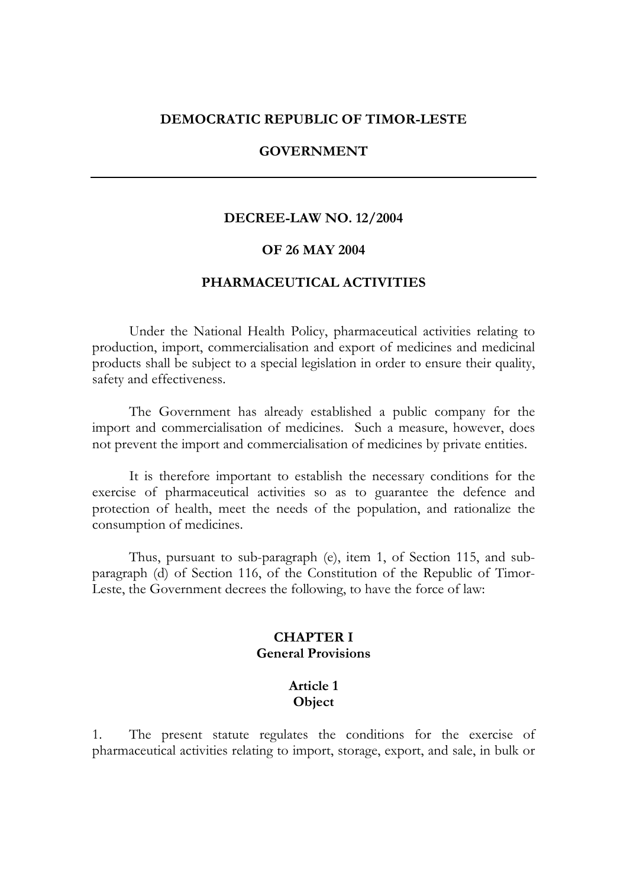#### **DEMOCRATIC REPUBLIC OF TIMOR-LESTE**

#### **GOVERNMENT**

#### **DECREE-LAW NO. 12/2004**

#### **OF 26 MAY 2004**

#### **PHARMACEUTICAL ACTIVITIES**

Under the National Health Policy, pharmaceutical activities relating to production, import, commercialisation and export of medicines and medicinal products shall be subject to a special legislation in order to ensure their quality, safety and effectiveness.

 The Government has already established a public company for the import and commercialisation of medicines. Such a measure, however, does not prevent the import and commercialisation of medicines by private entities.

 It is therefore important to establish the necessary conditions for the exercise of pharmaceutical activities so as to guarantee the defence and protection of health, meet the needs of the population, and rationalize the consumption of medicines.

 Thus, pursuant to sub-paragraph (e), item 1, of Section 115, and subparagraph (d) of Section 116, of the Constitution of the Republic of Timor-Leste, the Government decrees the following, to have the force of law:

#### **CHAPTER I General Provisions**

### **Article 1 Object**

1. The present statute regulates the conditions for the exercise of pharmaceutical activities relating to import, storage, export, and sale, in bulk or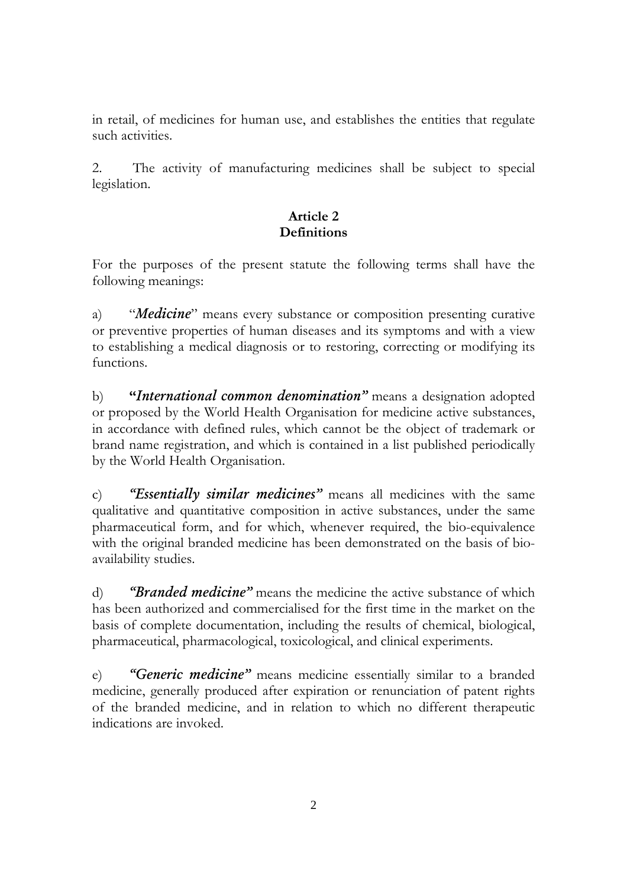in retail, of medicines for human use, and establishes the entities that regulate such activities.

2. The activity of manufacturing medicines shall be subject to special legislation.

# **Article 2 Definitions**

For the purposes of the present statute the following terms shall have the following meanings:

a) "*Medicine*" means every substance or composition presenting curative or preventive properties of human diseases and its symptoms and with a view to establishing a medical diagnosis or to restoring, correcting or modifying its functions.

b) **"***International common denomination"* means a designation adopted or proposed by the World Health Organisation for medicine active substances, in accordance with defined rules, which cannot be the object of trademark or brand name registration, and which is contained in a list published periodically by the World Health Organisation.

c) *"Essentially similar medicines"* means all medicines with the same qualitative and quantitative composition in active substances, under the same pharmaceutical form, and for which, whenever required, the bio-equivalence with the original branded medicine has been demonstrated on the basis of bioavailability studies.

d) *"Branded medicine"* means the medicine the active substance of which has been authorized and commercialised for the first time in the market on the basis of complete documentation, including the results of chemical, biological, pharmaceutical, pharmacological, toxicological, and clinical experiments.

e) *"Generic medicine"* means medicine essentially similar to a branded medicine, generally produced after expiration or renunciation of patent rights of the branded medicine, and in relation to which no different therapeutic indications are invoked.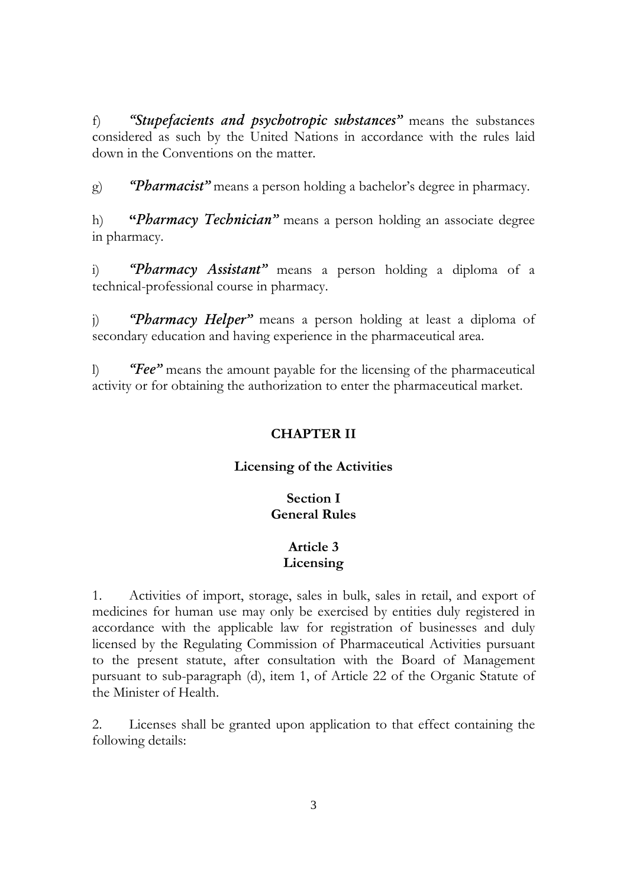f) *"Stupefacients and psychotropic substances"* means the substances considered as such by the United Nations in accordance with the rules laid down in the Conventions on the matter.

g) *"Pharmacist"* means a person holding a bachelor's degree in pharmacy.

h) **"***Pharmacy Technician"* means a person holding an associate degree in pharmacy.

i) *"Pharmacy Assistant"* means a person holding a diploma of a technical-professional course in pharmacy.

j) *"Pharmacy Helper"* means a person holding at least a diploma of secondary education and having experience in the pharmaceutical area.

l) *"Fee"* means the amount payable for the licensing of the pharmaceutical activity or for obtaining the authorization to enter the pharmaceutical market.

# **CHAPTER II**

# **Licensing of the Activities**

# **Section I General Rules**

# **Article 3 Licensing**

1. Activities of import, storage, sales in bulk, sales in retail, and export of medicines for human use may only be exercised by entities duly registered in accordance with the applicable law for registration of businesses and duly licensed by the Regulating Commission of Pharmaceutical Activities pursuant to the present statute, after consultation with the Board of Management pursuant to sub-paragraph (d), item 1, of Article 22 of the Organic Statute of the Minister of Health.

2. Licenses shall be granted upon application to that effect containing the following details: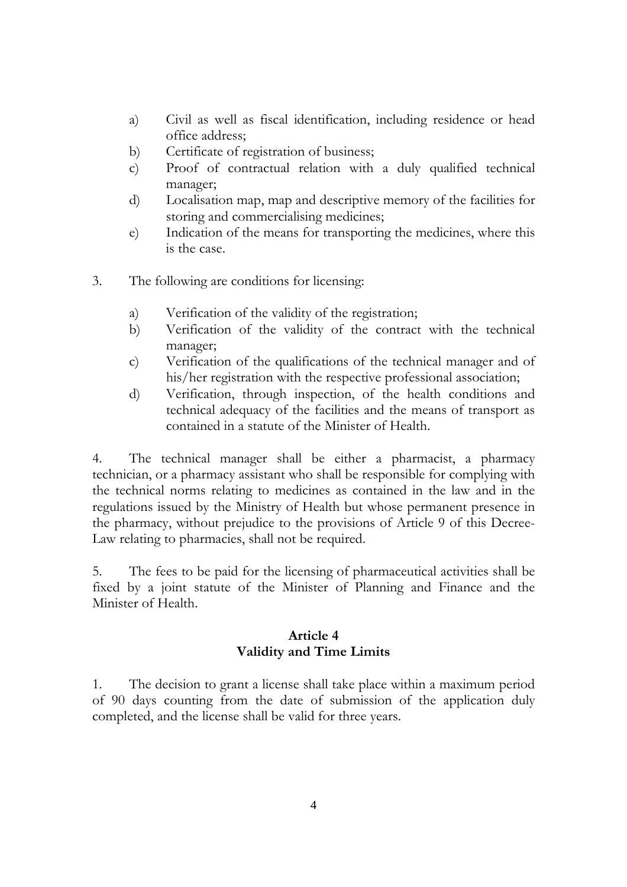- a) Civil as well as fiscal identification, including residence or head office address;
- b) Certificate of registration of business;
- c) Proof of contractual relation with a duly qualified technical manager;
- d) Localisation map, map and descriptive memory of the facilities for storing and commercialising medicines;
- e) Indication of the means for transporting the medicines, where this is the case.
- 3. The following are conditions for licensing:
	- a) Verification of the validity of the registration;
	- b) Verification of the validity of the contract with the technical manager;
	- c) Verification of the qualifications of the technical manager and of his/her registration with the respective professional association;
	- d) Verification, through inspection, of the health conditions and technical adequacy of the facilities and the means of transport as contained in a statute of the Minister of Health.

4. The technical manager shall be either a pharmacist, a pharmacy technician, or a pharmacy assistant who shall be responsible for complying with the technical norms relating to medicines as contained in the law and in the regulations issued by the Ministry of Health but whose permanent presence in the pharmacy, without prejudice to the provisions of Article 9 of this Decree-Law relating to pharmacies, shall not be required.

5. The fees to be paid for the licensing of pharmaceutical activities shall be fixed by a joint statute of the Minister of Planning and Finance and the Minister of Health.

### **Article 4 Validity and Time Limits**

1. The decision to grant a license shall take place within a maximum period of 90 days counting from the date of submission of the application duly completed, and the license shall be valid for three years.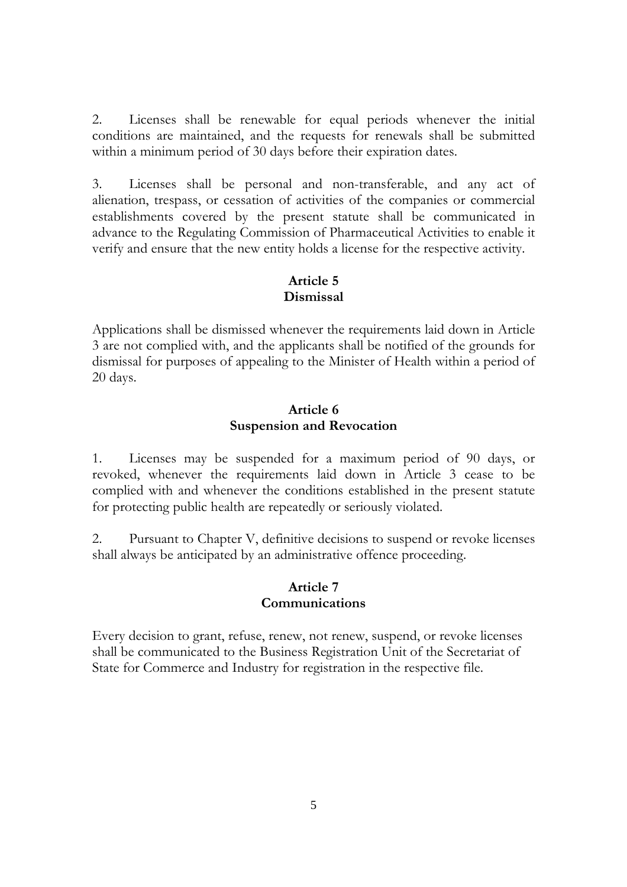2. Licenses shall be renewable for equal periods whenever the initial conditions are maintained, and the requests for renewals shall be submitted within a minimum period of 30 days before their expiration dates.

3. Licenses shall be personal and non-transferable, and any act of alienation, trespass, or cessation of activities of the companies or commercial establishments covered by the present statute shall be communicated in advance to the Regulating Commission of Pharmaceutical Activities to enable it verify and ensure that the new entity holds a license for the respective activity.

### **Article 5 Dismissal**

Applications shall be dismissed whenever the requirements laid down in Article 3 are not complied with, and the applicants shall be notified of the grounds for dismissal for purposes of appealing to the Minister of Health within a period of 20 days.

### **Article 6 Suspension and Revocation**

1. Licenses may be suspended for a maximum period of 90 days, or revoked, whenever the requirements laid down in Article 3 cease to be complied with and whenever the conditions established in the present statute for protecting public health are repeatedly or seriously violated.

2. Pursuant to Chapter V, definitive decisions to suspend or revoke licenses shall always be anticipated by an administrative offence proceeding.

### **Article 7 Communications**

Every decision to grant, refuse, renew, not renew, suspend, or revoke licenses shall be communicated to the Business Registration Unit of the Secretariat of State for Commerce and Industry for registration in the respective file.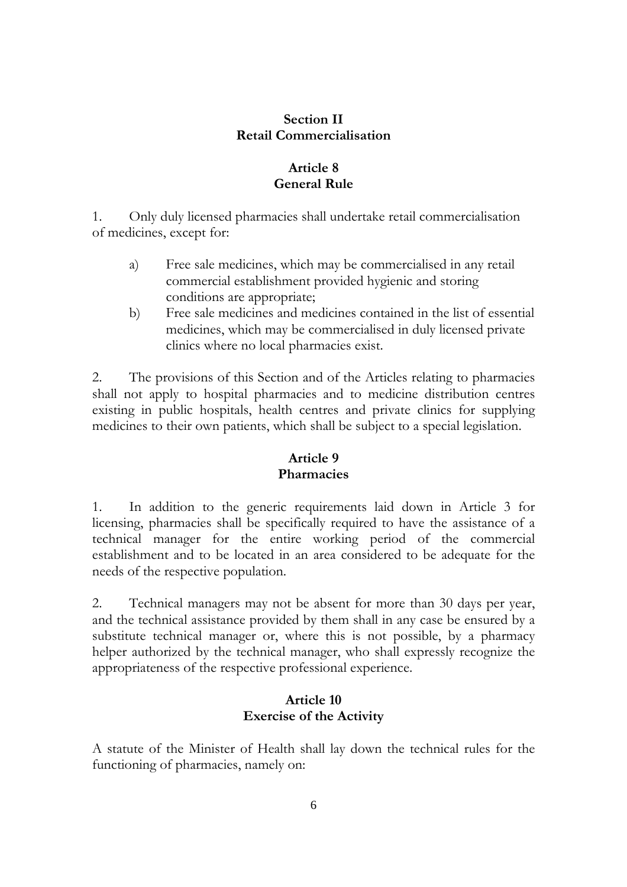### **Section II Retail Commercialisation**

# **Article 8 General Rule**

1. Only duly licensed pharmacies shall undertake retail commercialisation of medicines, except for:

- a) Free sale medicines, which may be commercialised in any retail commercial establishment provided hygienic and storing conditions are appropriate;
- b) Free sale medicines and medicines contained in the list of essential medicines, which may be commercialised in duly licensed private clinics where no local pharmacies exist.

2. The provisions of this Section and of the Articles relating to pharmacies shall not apply to hospital pharmacies and to medicine distribution centres existing in public hospitals, health centres and private clinics for supplying medicines to their own patients, which shall be subject to a special legislation.

# **Article 9 Pharmacies**

1. In addition to the generic requirements laid down in Article 3 for licensing, pharmacies shall be specifically required to have the assistance of a technical manager for the entire working period of the commercial establishment and to be located in an area considered to be adequate for the needs of the respective population.

2. Technical managers may not be absent for more than 30 days per year, and the technical assistance provided by them shall in any case be ensured by a substitute technical manager or, where this is not possible, by a pharmacy helper authorized by the technical manager, who shall expressly recognize the appropriateness of the respective professional experience.

# **Article 10 Exercise of the Activity**

A statute of the Minister of Health shall lay down the technical rules for the functioning of pharmacies, namely on: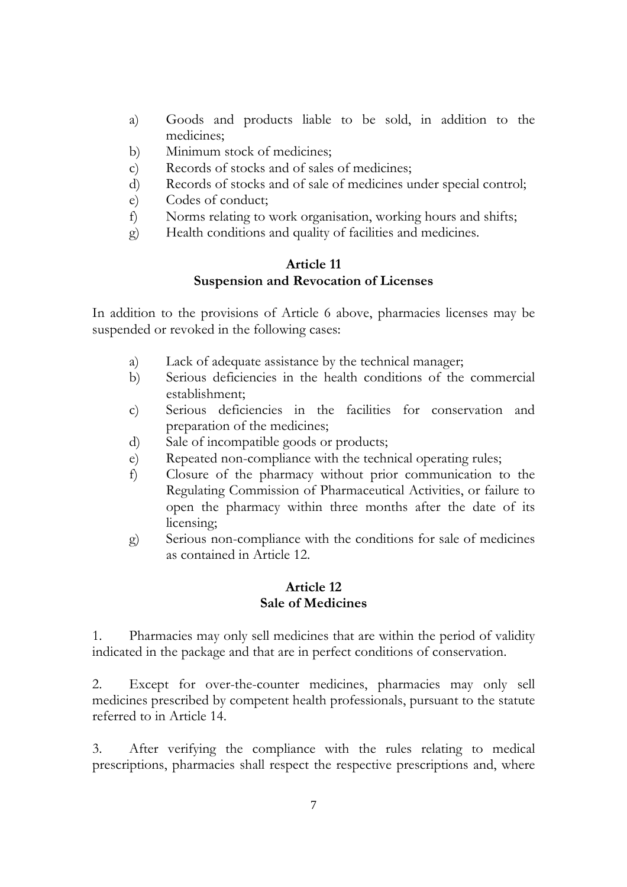- a) Goods and products liable to be sold, in addition to the medicines;
- b) Minimum stock of medicines;
- c) Records of stocks and of sales of medicines;
- d) Records of stocks and of sale of medicines under special control;
- e) Codes of conduct;
- f) Norms relating to work organisation, working hours and shifts;
- g) Health conditions and quality of facilities and medicines.

### **Article 11 Suspension and Revocation of Licenses**

In addition to the provisions of Article 6 above, pharmacies licenses may be suspended or revoked in the following cases:

- a) Lack of adequate assistance by the technical manager;
- b) Serious deficiencies in the health conditions of the commercial establishment;
- c) Serious deficiencies in the facilities for conservation and preparation of the medicines;
- d) Sale of incompatible goods or products;
- e) Repeated non-compliance with the technical operating rules;
- f) Closure of the pharmacy without prior communication to the Regulating Commission of Pharmaceutical Activities, or failure to open the pharmacy within three months after the date of its licensing;
- g) Serious non-compliance with the conditions for sale of medicines as contained in Article 12.

### **Article 12 Sale of Medicines**

1. Pharmacies may only sell medicines that are within the period of validity indicated in the package and that are in perfect conditions of conservation.

2. Except for over-the-counter medicines, pharmacies may only sell medicines prescribed by competent health professionals, pursuant to the statute referred to in Article 14.

3. After verifying the compliance with the rules relating to medical prescriptions, pharmacies shall respect the respective prescriptions and, where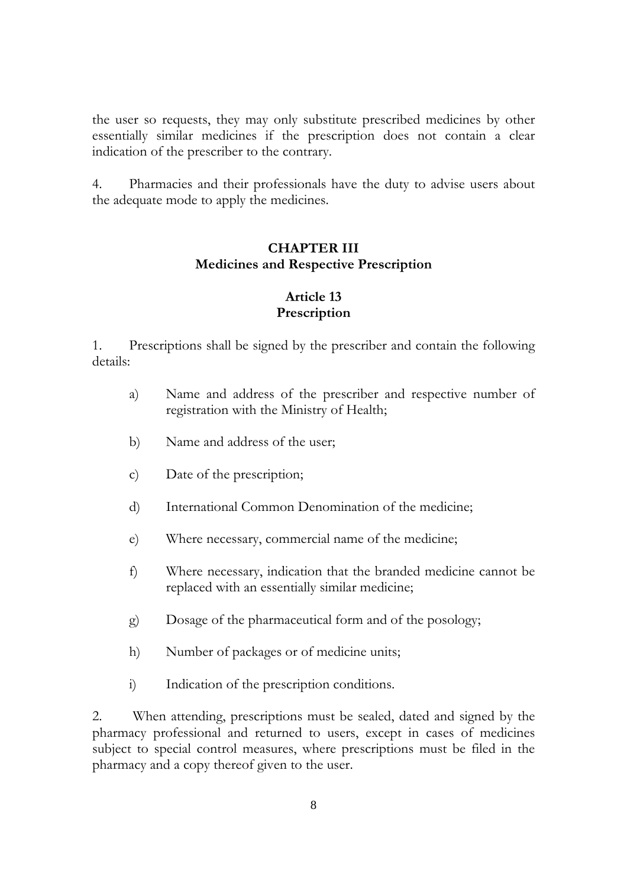the user so requests, they may only substitute prescribed medicines by other essentially similar medicines if the prescription does not contain a clear indication of the prescriber to the contrary.

4. Pharmacies and their professionals have the duty to advise users about the adequate mode to apply the medicines.

## **CHAPTER III Medicines and Respective Prescription**

# **Article 13 Prescription**

1. Prescriptions shall be signed by the prescriber and contain the following details:

- a) Name and address of the prescriber and respective number of registration with the Ministry of Health;
- b) Name and address of the user;
- c) Date of the prescription;
- d) International Common Denomination of the medicine;
- e) Where necessary, commercial name of the medicine;
- f) Where necessary, indication that the branded medicine cannot be replaced with an essentially similar medicine;
- g) Dosage of the pharmaceutical form and of the posology;
- h) Number of packages or of medicine units;
- i) Indication of the prescription conditions.

2. When attending, prescriptions must be sealed, dated and signed by the pharmacy professional and returned to users, except in cases of medicines subject to special control measures, where prescriptions must be filed in the pharmacy and a copy thereof given to the user.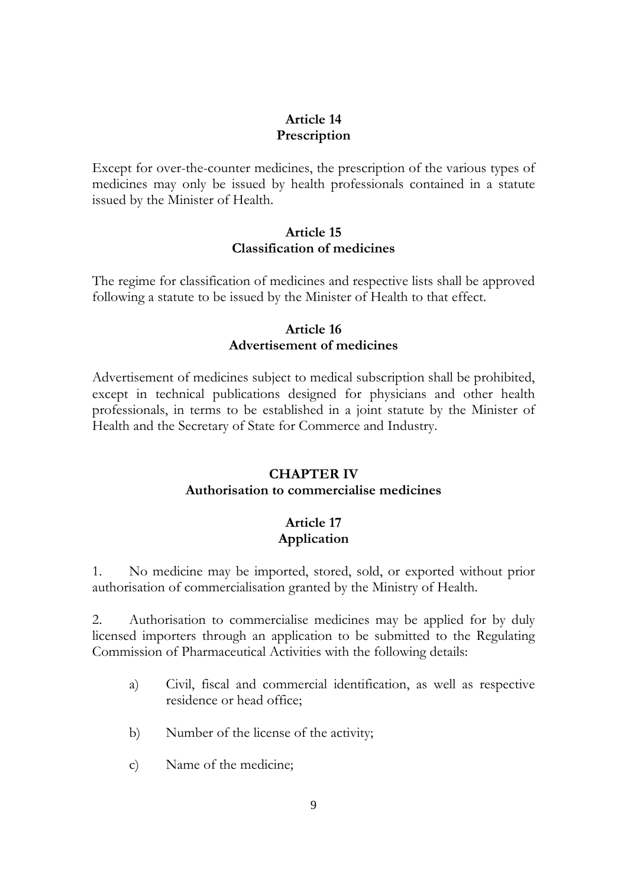## **Article 14 Prescription**

Except for over-the-counter medicines, the prescription of the various types of medicines may only be issued by health professionals contained in a statute issued by the Minister of Health.

### **Article 15 Classification of medicines**

The regime for classification of medicines and respective lists shall be approved following a statute to be issued by the Minister of Health to that effect.

# **Article 16 Advertisement of medicines**

Advertisement of medicines subject to medical subscription shall be prohibited, except in technical publications designed for physicians and other health professionals, in terms to be established in a joint statute by the Minister of Health and the Secretary of State for Commerce and Industry.

# **CHAPTER IV**

## **Authorisation to commercialise medicines**

# **Article 17 Application**

1. No medicine may be imported, stored, sold, or exported without prior authorisation of commercialisation granted by the Ministry of Health.

2. Authorisation to commercialise medicines may be applied for by duly licensed importers through an application to be submitted to the Regulating Commission of Pharmaceutical Activities with the following details:

- a) Civil, fiscal and commercial identification, as well as respective residence or head office;
- b) Number of the license of the activity;
- c) Name of the medicine;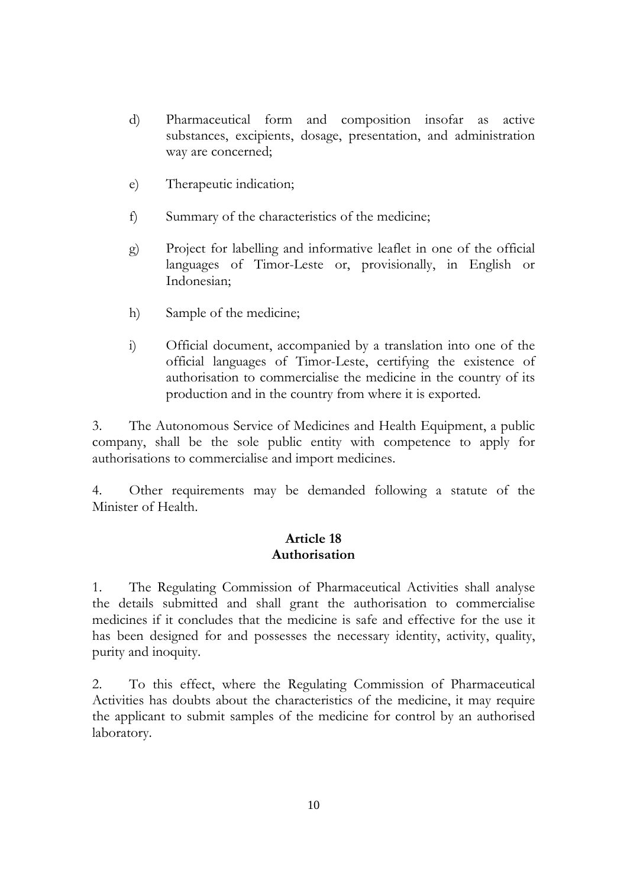- d) Pharmaceutical form and composition insofar as active substances, excipients, dosage, presentation, and administration way are concerned;
- e) Therapeutic indication;
- f) Summary of the characteristics of the medicine;
- g) Project for labelling and informative leaflet in one of the official languages of Timor-Leste or, provisionally, in English or Indonesian;
- h) Sample of the medicine;
- i) Official document, accompanied by a translation into one of the official languages of Timor-Leste, certifying the existence of authorisation to commercialise the medicine in the country of its production and in the country from where it is exported.

3. The Autonomous Service of Medicines and Health Equipment, a public company, shall be the sole public entity with competence to apply for authorisations to commercialise and import medicines.

4. Other requirements may be demanded following a statute of the Minister of Health.

### **Article 18 Authorisation**

1. The Regulating Commission of Pharmaceutical Activities shall analyse the details submitted and shall grant the authorisation to commercialise medicines if it concludes that the medicine is safe and effective for the use it has been designed for and possesses the necessary identity, activity, quality, purity and inoquity.

2. To this effect, where the Regulating Commission of Pharmaceutical Activities has doubts about the characteristics of the medicine, it may require the applicant to submit samples of the medicine for control by an authorised laboratory.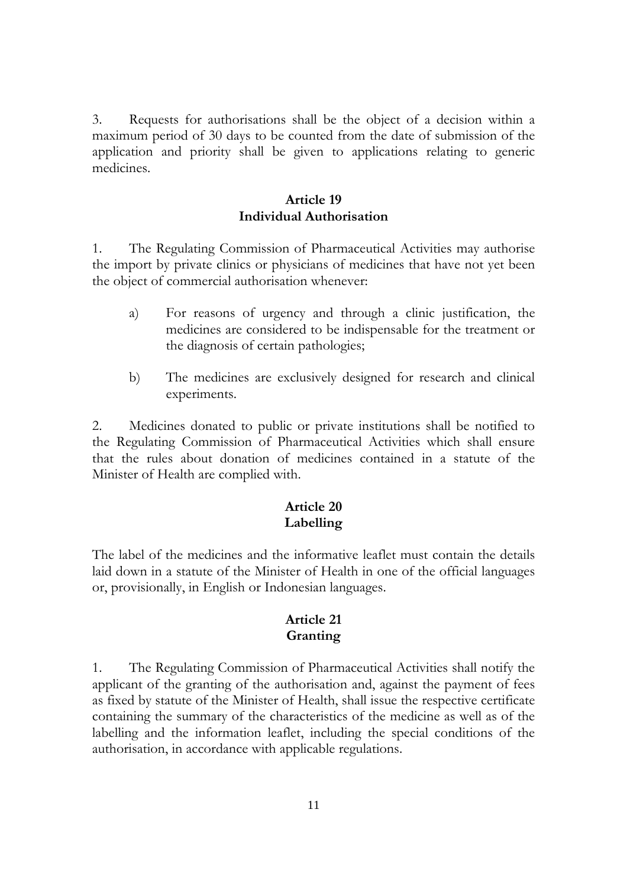3. Requests for authorisations shall be the object of a decision within a maximum period of 30 days to be counted from the date of submission of the application and priority shall be given to applications relating to generic medicines.

### **Article 19 Individual Authorisation**

1. The Regulating Commission of Pharmaceutical Activities may authorise the import by private clinics or physicians of medicines that have not yet been the object of commercial authorisation whenever:

- a) For reasons of urgency and through a clinic justification, the medicines are considered to be indispensable for the treatment or the diagnosis of certain pathologies;
- b) The medicines are exclusively designed for research and clinical experiments.

2. Medicines donated to public or private institutions shall be notified to the Regulating Commission of Pharmaceutical Activities which shall ensure that the rules about donation of medicines contained in a statute of the Minister of Health are complied with.

# **Article 20 Labelling**

The label of the medicines and the informative leaflet must contain the details laid down in a statute of the Minister of Health in one of the official languages or, provisionally, in English or Indonesian languages.

## **Article 21 Granting**

1. The Regulating Commission of Pharmaceutical Activities shall notify the applicant of the granting of the authorisation and, against the payment of fees as fixed by statute of the Minister of Health, shall issue the respective certificate containing the summary of the characteristics of the medicine as well as of the labelling and the information leaflet, including the special conditions of the authorisation, in accordance with applicable regulations.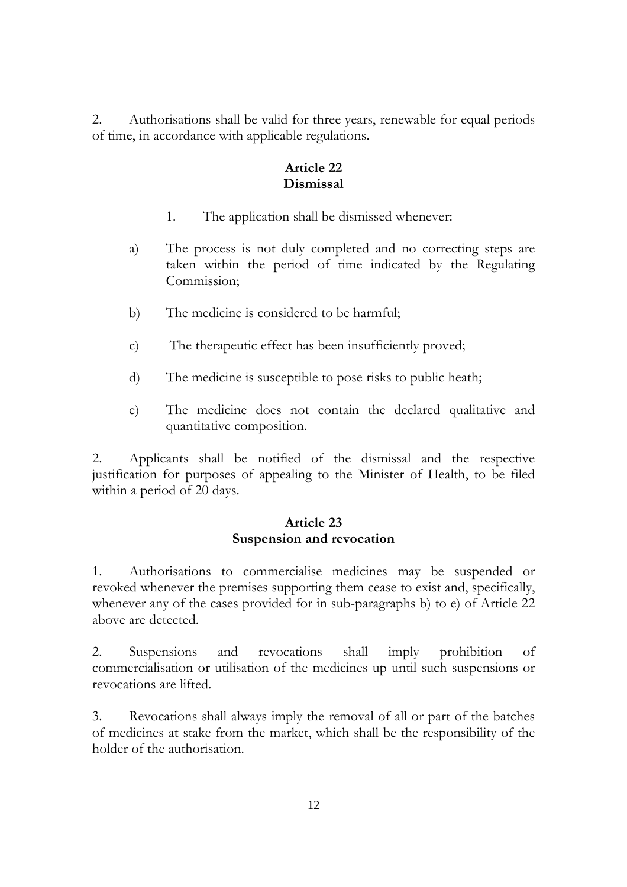2. Authorisations shall be valid for three years, renewable for equal periods of time, in accordance with applicable regulations.

# **Article 22 Dismissal**

- 1. The application shall be dismissed whenever:
- a) The process is not duly completed and no correcting steps are taken within the period of time indicated by the Regulating Commission;
- b) The medicine is considered to be harmful;
- c) The therapeutic effect has been insufficiently proved;
- d) The medicine is susceptible to pose risks to public heath;
- e) The medicine does not contain the declared qualitative and quantitative composition.

2. Applicants shall be notified of the dismissal and the respective justification for purposes of appealing to the Minister of Health, to be filed within a period of 20 days.

### **Article 23 Suspension and revocation**

1. Authorisations to commercialise medicines may be suspended or revoked whenever the premises supporting them cease to exist and, specifically, whenever any of the cases provided for in sub-paragraphs b) to e) of Article 22 above are detected.

2. Suspensions and revocations shall imply prohibition of commercialisation or utilisation of the medicines up until such suspensions or revocations are lifted.

3. Revocations shall always imply the removal of all or part of the batches of medicines at stake from the market, which shall be the responsibility of the holder of the authorisation.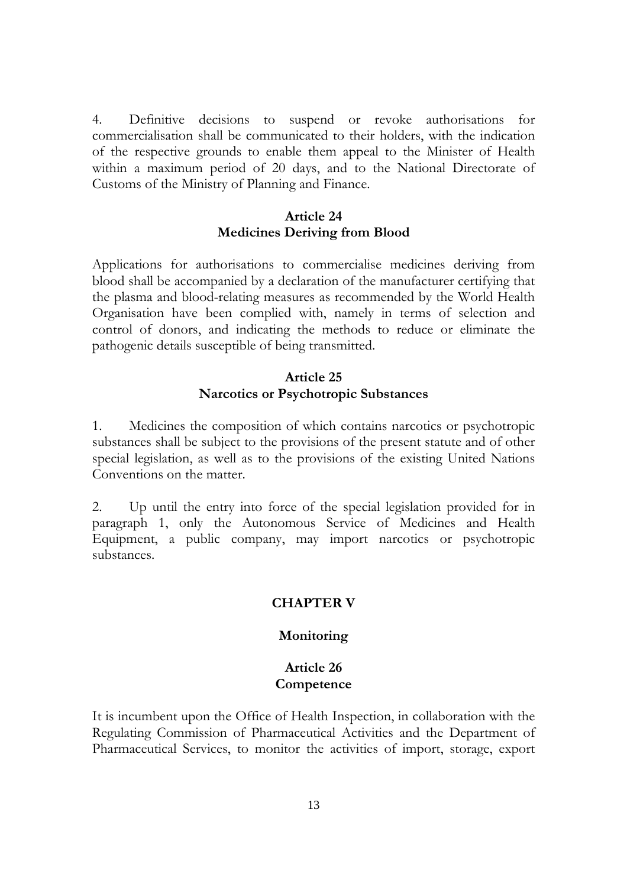4. Definitive decisions to suspend or revoke authorisations for commercialisation shall be communicated to their holders, with the indication of the respective grounds to enable them appeal to the Minister of Health within a maximum period of 20 days, and to the National Directorate of Customs of the Ministry of Planning and Finance.

### **Article 24 Medicines Deriving from Blood**

Applications for authorisations to commercialise medicines deriving from blood shall be accompanied by a declaration of the manufacturer certifying that the plasma and blood-relating measures as recommended by the World Health Organisation have been complied with, namely in terms of selection and control of donors, and indicating the methods to reduce or eliminate the pathogenic details susceptible of being transmitted.

### **Article 25 Narcotics or Psychotropic Substances**

1. Medicines the composition of which contains narcotics or psychotropic substances shall be subject to the provisions of the present statute and of other special legislation, as well as to the provisions of the existing United Nations Conventions on the matter.

2. Up until the entry into force of the special legislation provided for in paragraph 1, only the Autonomous Service of Medicines and Health Equipment, a public company, may import narcotics or psychotropic substances.

## **CHAPTER V**

## **Monitoring**

### **Article 26 Competence**

It is incumbent upon the Office of Health Inspection, in collaboration with the Regulating Commission of Pharmaceutical Activities and the Department of Pharmaceutical Services, to monitor the activities of import, storage, export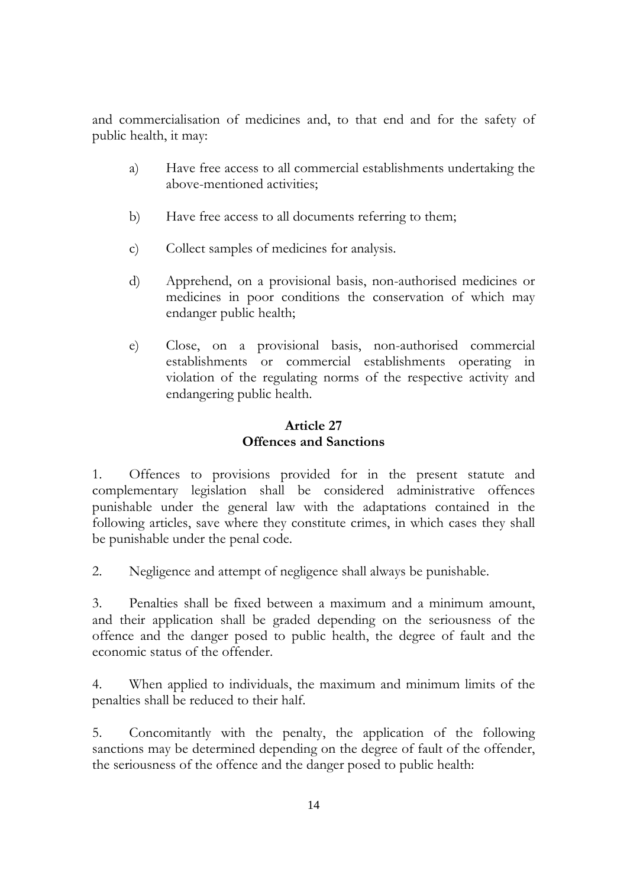and commercialisation of medicines and, to that end and for the safety of public health, it may:

- a) Have free access to all commercial establishments undertaking the above-mentioned activities;
- b) Have free access to all documents referring to them;
- c) Collect samples of medicines for analysis.
- d) Apprehend, on a provisional basis, non-authorised medicines or medicines in poor conditions the conservation of which may endanger public health;
- e) Close, on a provisional basis, non-authorised commercial establishments or commercial establishments operating in violation of the regulating norms of the respective activity and endangering public health.

# **Article 27 Offences and Sanctions**

1. Offences to provisions provided for in the present statute and complementary legislation shall be considered administrative offences punishable under the general law with the adaptations contained in the following articles, save where they constitute crimes, in which cases they shall be punishable under the penal code.

2. Negligence and attempt of negligence shall always be punishable.

3. Penalties shall be fixed between a maximum and a minimum amount, and their application shall be graded depending on the seriousness of the offence and the danger posed to public health, the degree of fault and the economic status of the offender.

4. When applied to individuals, the maximum and minimum limits of the penalties shall be reduced to their half.

5. Concomitantly with the penalty, the application of the following sanctions may be determined depending on the degree of fault of the offender, the seriousness of the offence and the danger posed to public health: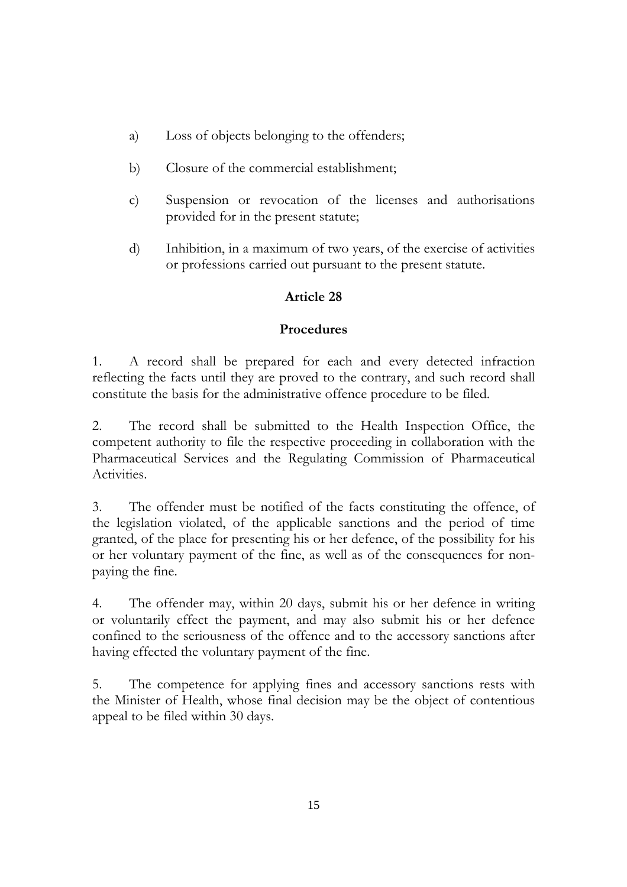- a) Loss of objects belonging to the offenders;
- b) Closure of the commercial establishment;
- c) Suspension or revocation of the licenses and authorisations provided for in the present statute;
- d) Inhibition, in a maximum of two years, of the exercise of activities or professions carried out pursuant to the present statute.

# **Article 28**

# **Procedures**

1. A record shall be prepared for each and every detected infraction reflecting the facts until they are proved to the contrary, and such record shall constitute the basis for the administrative offence procedure to be filed.

2. The record shall be submitted to the Health Inspection Office, the competent authority to file the respective proceeding in collaboration with the Pharmaceutical Services and the Regulating Commission of Pharmaceutical Activities.

3. The offender must be notified of the facts constituting the offence, of the legislation violated, of the applicable sanctions and the period of time granted, of the place for presenting his or her defence, of the possibility for his or her voluntary payment of the fine, as well as of the consequences for nonpaying the fine.

4. The offender may, within 20 days, submit his or her defence in writing or voluntarily effect the payment, and may also submit his or her defence confined to the seriousness of the offence and to the accessory sanctions after having effected the voluntary payment of the fine.

5. The competence for applying fines and accessory sanctions rests with the Minister of Health, whose final decision may be the object of contentious appeal to be filed within 30 days.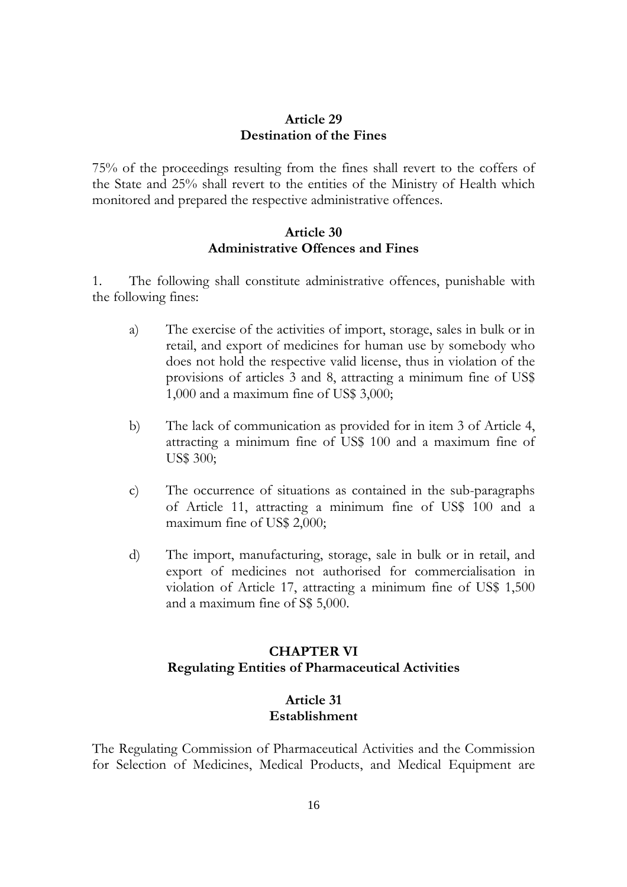#### **Article 29 Destination of the Fines**

75% of the proceedings resulting from the fines shall revert to the coffers of the State and 25% shall revert to the entities of the Ministry of Health which monitored and prepared the respective administrative offences.

### **Article 30 Administrative Offences and Fines**

1. The following shall constitute administrative offences, punishable with the following fines:

- a) The exercise of the activities of import, storage, sales in bulk or in retail, and export of medicines for human use by somebody who does not hold the respective valid license, thus in violation of the provisions of articles 3 and 8, attracting a minimum fine of US\$ 1,000 and a maximum fine of US\$ 3,000;
- b) The lack of communication as provided for in item 3 of Article 4, attracting a minimum fine of US\$ 100 and a maximum fine of US\$ 300;
- c) The occurrence of situations as contained in the sub-paragraphs of Article 11, attracting a minimum fine of US\$ 100 and a maximum fine of US\$ 2,000;
- d) The import, manufacturing, storage, sale in bulk or in retail, and export of medicines not authorised for commercialisation in violation of Article 17, attracting a minimum fine of US\$ 1,500 and a maximum fine of S\$ 5,000.

# **CHAPTER VI Regulating Entities of Pharmaceutical Activities**

# **Article 31 Establishment**

The Regulating Commission of Pharmaceutical Activities and the Commission for Selection of Medicines, Medical Products, and Medical Equipment are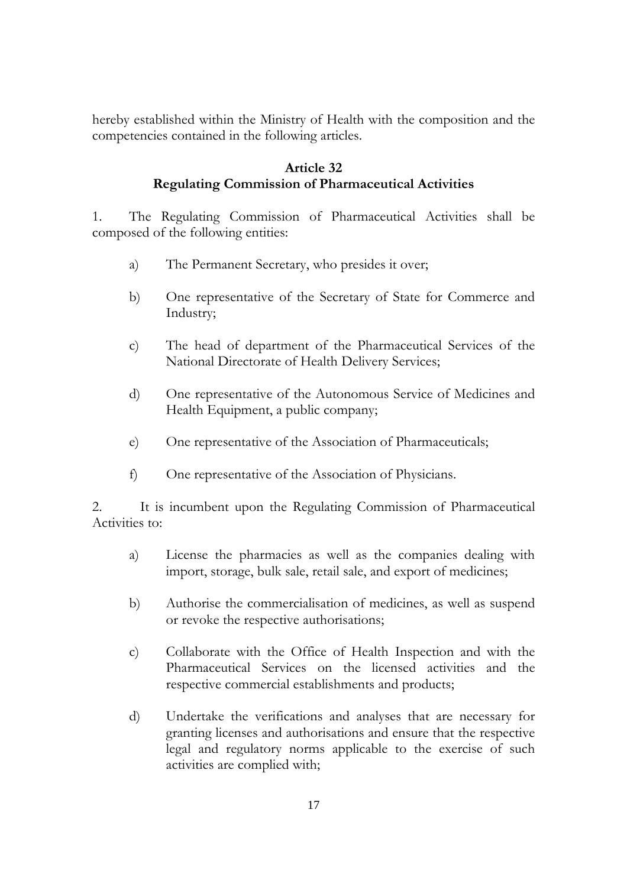hereby established within the Ministry of Health with the composition and the competencies contained in the following articles.

# **Article 32 Regulating Commission of Pharmaceutical Activities**

1. The Regulating Commission of Pharmaceutical Activities shall be composed of the following entities:

- a) The Permanent Secretary, who presides it over;
- b) One representative of the Secretary of State for Commerce and Industry;
- c) The head of department of the Pharmaceutical Services of the National Directorate of Health Delivery Services;
- d) One representative of the Autonomous Service of Medicines and Health Equipment, a public company;
- e) One representative of the Association of Pharmaceuticals;
- f) One representative of the Association of Physicians.

2. It is incumbent upon the Regulating Commission of Pharmaceutical Activities to:

- a) License the pharmacies as well as the companies dealing with import, storage, bulk sale, retail sale, and export of medicines;
- b) Authorise the commercialisation of medicines, as well as suspend or revoke the respective authorisations;
- c) Collaborate with the Office of Health Inspection and with the Pharmaceutical Services on the licensed activities and the respective commercial establishments and products;
- d) Undertake the verifications and analyses that are necessary for granting licenses and authorisations and ensure that the respective legal and regulatory norms applicable to the exercise of such activities are complied with;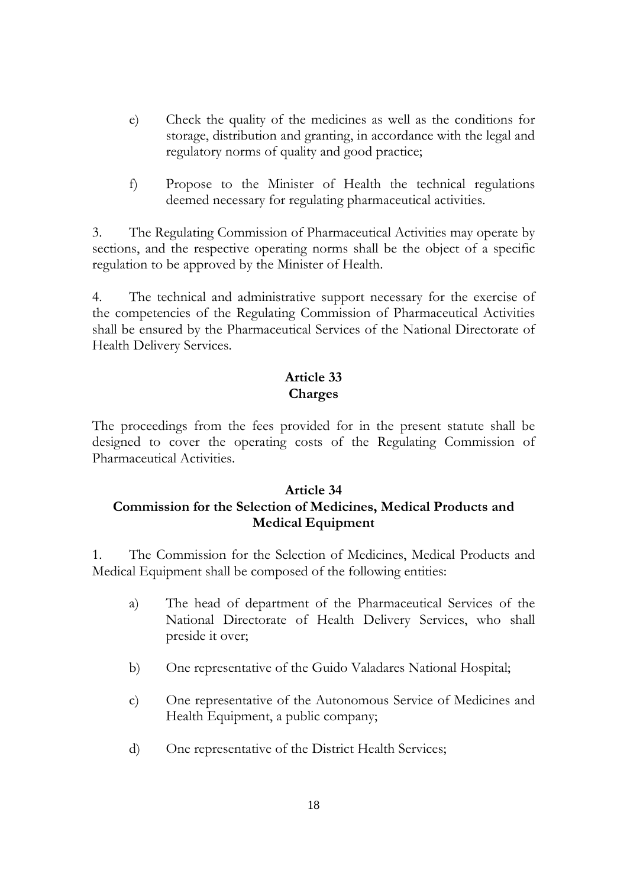- e) Check the quality of the medicines as well as the conditions for storage, distribution and granting, in accordance with the legal and regulatory norms of quality and good practice;
- f) Propose to the Minister of Health the technical regulations deemed necessary for regulating pharmaceutical activities.

3. The Regulating Commission of Pharmaceutical Activities may operate by sections, and the respective operating norms shall be the object of a specific regulation to be approved by the Minister of Health.

4. The technical and administrative support necessary for the exercise of the competencies of the Regulating Commission of Pharmaceutical Activities shall be ensured by the Pharmaceutical Services of the National Directorate of Health Delivery Services.

# **Article 33 Charges**

The proceedings from the fees provided for in the present statute shall be designed to cover the operating costs of the Regulating Commission of Pharmaceutical Activities.

# **Article 34 Commission for the Selection of Medicines, Medical Products and Medical Equipment**

1. The Commission for the Selection of Medicines, Medical Products and Medical Equipment shall be composed of the following entities:

- a) The head of department of the Pharmaceutical Services of the National Directorate of Health Delivery Services, who shall preside it over;
- b) One representative of the Guido Valadares National Hospital;
- c) One representative of the Autonomous Service of Medicines and Health Equipment, a public company;
- d) One representative of the District Health Services;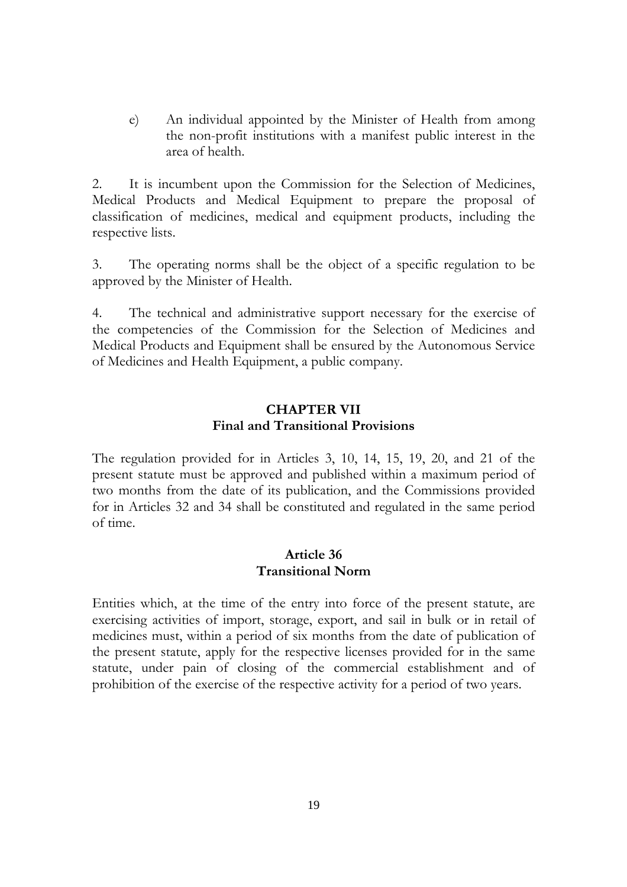e) An individual appointed by the Minister of Health from among the non-profit institutions with a manifest public interest in the area of health.

2. It is incumbent upon the Commission for the Selection of Medicines, Medical Products and Medical Equipment to prepare the proposal of classification of medicines, medical and equipment products, including the respective lists.

3. The operating norms shall be the object of a specific regulation to be approved by the Minister of Health.

4. The technical and administrative support necessary for the exercise of the competencies of the Commission for the Selection of Medicines and Medical Products and Equipment shall be ensured by the Autonomous Service of Medicines and Health Equipment, a public company.

## **CHAPTER VII Final and Transitional Provisions**

The regulation provided for in Articles 3, 10, 14, 15, 19, 20, and 21 of the present statute must be approved and published within a maximum period of two months from the date of its publication, and the Commissions provided for in Articles 32 and 34 shall be constituted and regulated in the same period of time.

### **Article 36 Transitional Norm**

Entities which, at the time of the entry into force of the present statute, are exercising activities of import, storage, export, and sail in bulk or in retail of medicines must, within a period of six months from the date of publication of the present statute, apply for the respective licenses provided for in the same statute, under pain of closing of the commercial establishment and of prohibition of the exercise of the respective activity for a period of two years.